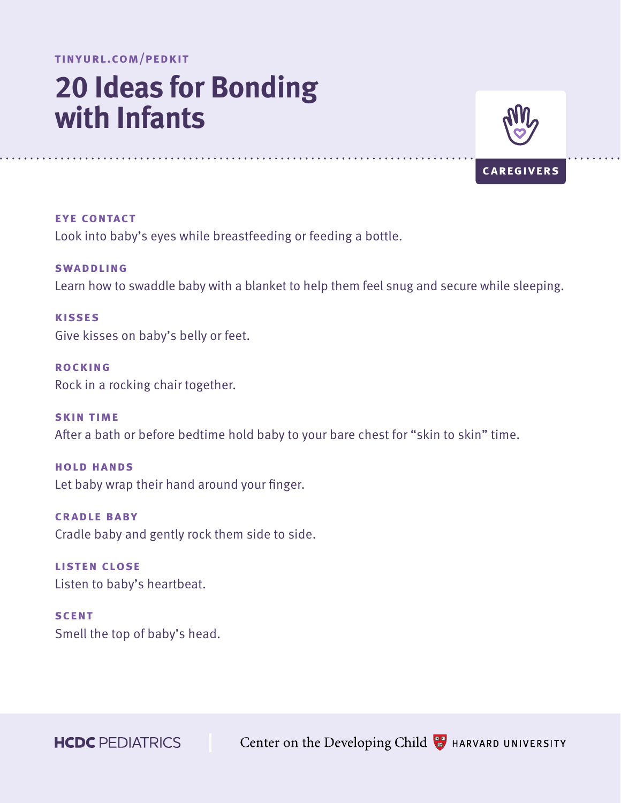# **20 Ideas for Bonding with Infants**



**eye contact** Look into baby's eyes while breastfeeding or feeding a bottle.

**SWADDLING** Learn how to swaddle baby with a blanket to help them feel snug and secure while sleeping.

**kisses** Give kisses on baby's belly or feet.

**rocking** Rock in a rocking chair together.

**skin time** After a bath or before bedtime hold baby to your bare chest for "skin to skin" time.

**hold hands** Let baby wrap their hand around your finger.

**cradle baby** Cradle baby and gently rock them side to side.

**listen close** Listen to baby's heartbeat.

**SCENT** Smell the top of baby's head.

**HCDC** PEDIATRICS

Center on the Developing Child **B** HARVARD UNIVERSITY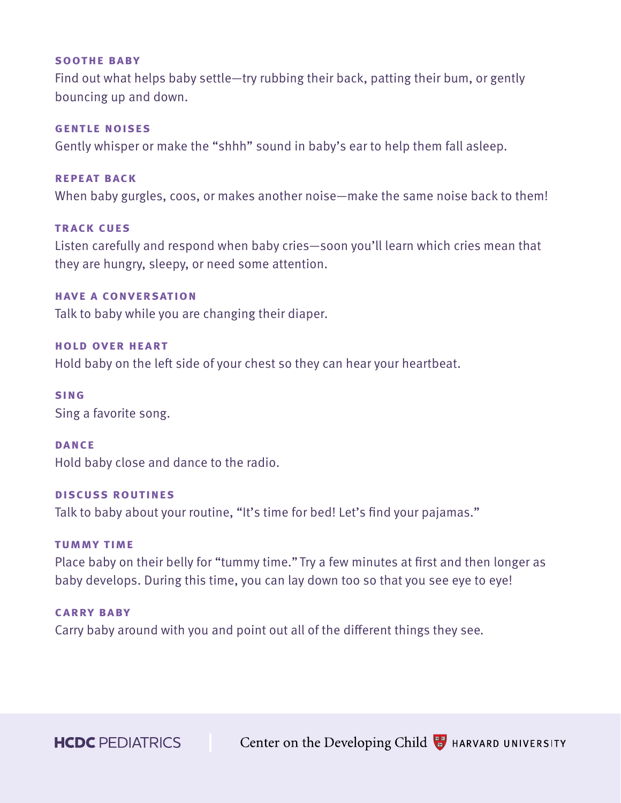#### **soothe baby**

Find out what helps baby settle—try rubbing their back, patting their bum, or gently bouncing up and down.

# **gentle noises**

Gently whisper or make the "shhh" sound in baby's ear to help them fall asleep.

# **repeat back**

When baby gurgles, coos, or makes another noise—make the same noise back to them!

# **track cues**

Listen carefully and respond when baby cries—soon you'll learn which cries mean that they are hungry, sleepy, or need some attention.

# **have a conversation**

Talk to baby while you are changing their diaper.

# **hold over heart**

Hold baby on the left side of your chest so they can hear your heartbeat.

#### **sing**

Sing a favorite song.

#### **DANCE**

Hold baby close and dance to the radio.

# **discuss routines**

Talk to baby about your routine, "It's time for bed! Let's find your pajamas."

#### **tummy time**

Place baby on their belly for "tummy time." Try a few minutes at first and then longer as baby develops. During this time, you can lay down too so that you see eye to eye!

### **carry baby**

Carry baby around with you and point out all of the different things they see.

**HCDC** PEDIATRICS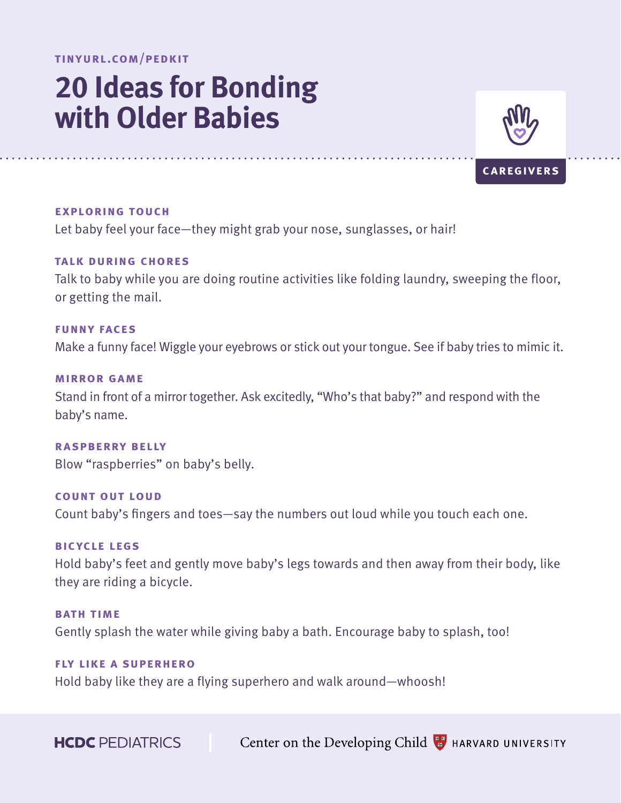# **20 Ideas for Bonding with Older Babies**



**caregivers**

**exploring touch** Let baby feel your face—they might grab your nose, sunglasses, or hair!

**talk during chores** Talk to baby while you are doing routine activities like folding laundry, sweeping the floor, or getting the mail.

**funny faces** Make a funny face! Wiggle your eyebrows or stick out your tongue. See if baby tries to mimic it.

**mirror game** Stand in front of a mirror together. Ask excitedly, "Who's that baby?" and respond with the baby's name.

**raspberry belly** Blow "raspberries" on baby's belly.

**count out loud** Count baby's fingers and toes—say the numbers out loud while you touch each one.

**bicycle legs** Hold baby's feet and gently move baby's legs towards and then away from their body, like they are riding a bicycle.

**BATH TIME** Gently splash the water while giving baby a bath. Encourage baby to splash, too!

**fly like a superhero** Hold baby like they are a flying superhero and walk around—whoosh!

**HCDC** PEDIATRICS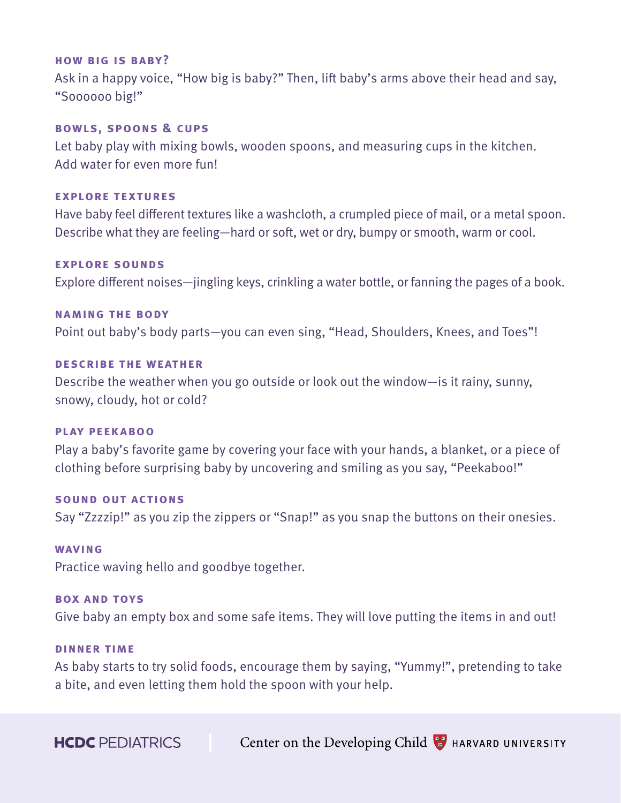#### **how big is baby?**

Ask in a happy voice, "How big is baby?" Then, lift baby's arms above their head and say, "Soooooo big!"

# **bowls, spoons & cups**

Let baby play with mixing bowls, wooden spoons, and measuring cups in the kitchen. Add water for even more fun!

# **explore textures**

Have baby feel different textures like a washcloth, a crumpled piece of mail, or a metal spoon. Describe what they are feeling—hard or soft, wet or dry, bumpy or smooth, warm or cool.

#### **explore sounds**

Explore different noises—jingling keys, crinkling a water bottle, or fanning the pages of a book.

# **naming the body**

Point out baby's body parts—you can even sing, "Head, Shoulders, Knees, and Toes"!

#### **describe the weather**

Describe the weather when you go outside or look out the window—is it rainy, sunny, snowy, cloudy, hot or cold?

# **play peekaboo**

Play a baby's favorite game by covering your face with your hands, a blanket, or a piece of clothing before surprising baby by uncovering and smiling as you say, "Peekaboo!"

#### **sound out actions**

Say "Zzzzip!" as you zip the zippers or "Snap!" as you snap the buttons on their onesies.

### **waving**

Practice waving hello and goodbye together.

#### **box and toys**

Give baby an empty box and some safe items. They will love putting the items in and out!

### **dinner time**

As baby starts to try solid foods, encourage them by saying, "Yummy!", pretending to take a bite, and even letting them hold the spoon with your help.

**HCDC** PEDIATRICS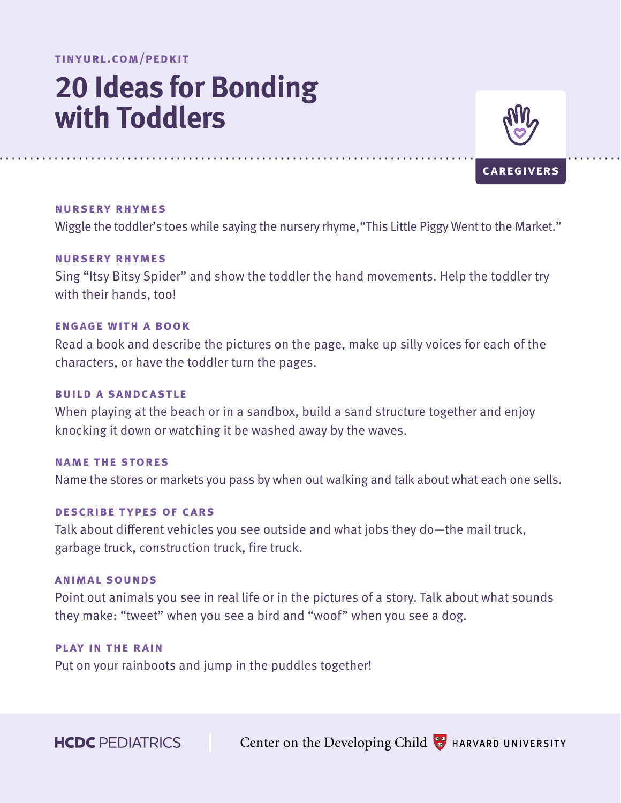# **20 Ideas for Bonding with Toddlers**



**caregivers**

Wiggle the toddler's toes while saying the nursery rhyme, "This Little Piggy Went to the Market."

# **nursery rhymes**

**nursery rhymes**

Sing "Itsy Bitsy Spider" and show the toddler the hand movements. Help the toddler try with their hands, too!

# **engage with a book**

Read a book and describe the pictures on the page, make up silly voices for each of the characters, or have the toddler turn the pages.

#### **build a sandcastle**

When playing at the beach or in a sandbox, build a sand structure together and enjoy knocking it down or watching it be washed away by the waves.

#### **name the stores**

Name the stores or markets you pass by when out walking and talk about what each one sells.

#### **describe types of cars**

Talk about different vehicles you see outside and what jobs they do—the mail truck, garbage truck, construction truck, fire truck.

# **animal sounds**

Point out animals you see in real life or in the pictures of a story. Talk about what sounds they make: "tweet" when you see a bird and "woof" when you see a dog.

# **play in the rain**

Put on your rainboots and jump in the puddles together!

**HCDC** PEDIATRICS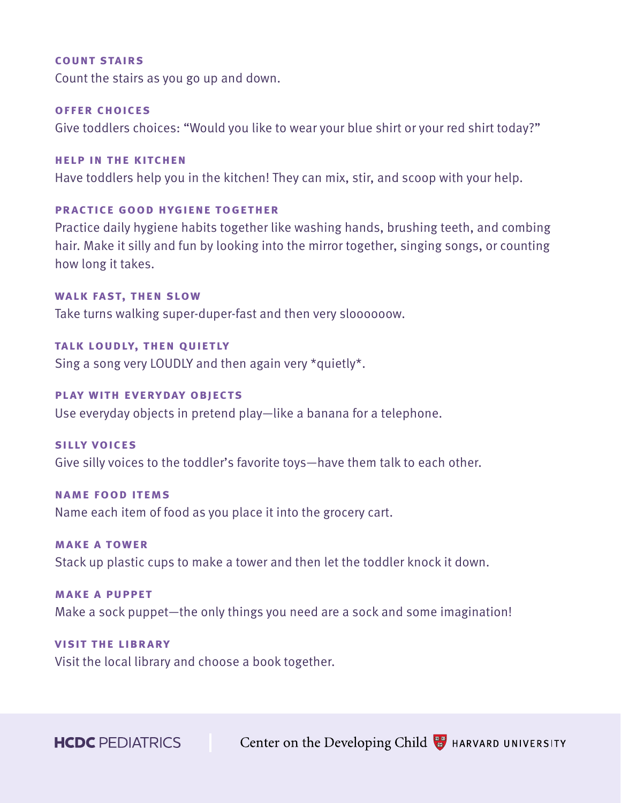#### **count stairs**

Count the stairs as you go up and down.

#### **offer choices**

Give toddlers choices: "Would you like to wear your blue shirt or your red shirt today?"

#### **help in the kitchen**

Have toddlers help you in the kitchen! They can mix, stir, and scoop with your help.

# **practice good hygiene together**

Practice daily hygiene habits together like washing hands, brushing teeth, and combing hair. Make it silly and fun by looking into the mirror together, singing songs, or counting how long it takes.

# **walk fast, then slow**

Take turns walking super-duper-fast and then very sloooooow.

# **talk loudly, then quietly**

Sing a song very LOUDLY and then again very \*quietly\*.

# **play with everyday objects**

Use everyday objects in pretend play—like a banana for a telephone.

#### **silly voices**

Give silly voices to the toddler's favorite toys—have them talk to each other.

#### **name food items**

Name each item of food as you place it into the grocery cart.

# **make a tower**

Stack up plastic cups to make a tower and then let the toddler knock it down.

# **make a puppet**

Make a sock puppet—the only things you need are a sock and some imagination!

# **visit the library**

Visit the local library and choose a book together.

**HCDC** PEDIATRICS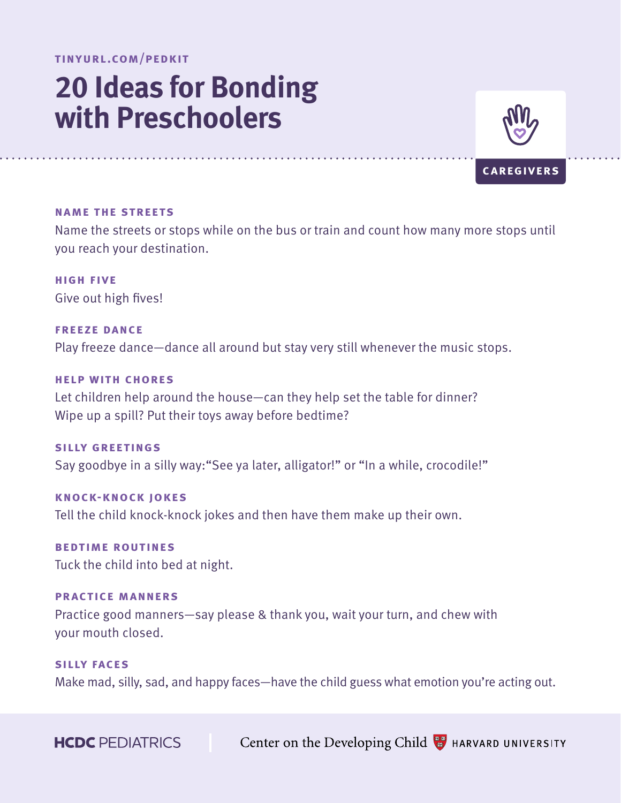# **20 Ideas for Bonding with Preschoolers**



**caregivers**

#### **name the streets**

Name the streets or stops while on the bus or train and count how many more stops until you reach your destination.

**high five** Give out high fives!

**freeze dance** Play freeze dance—dance all around but stay very still whenever the music stops.

### **help with chores**

Let children help around the house—can they help set the table for dinner? Wipe up a spill? Put their toys away before bedtime?

**silly greetings** Say goodbye in a silly way: "See ya later, alligator!" or "In a while, crocodile!"

**knock-knock jokes** Tell the child knock-knock jokes and then have them make up their own.

**bedtime routines** Tuck the child into bed at night.

**practice manners** Practice good manners—say please & thank you, wait your turn, and chew with your mouth closed.

**silly faces** Make mad, silly, sad, and happy faces—have the child guess what emotion you're acting out.

**HCDC** PEDIATRICS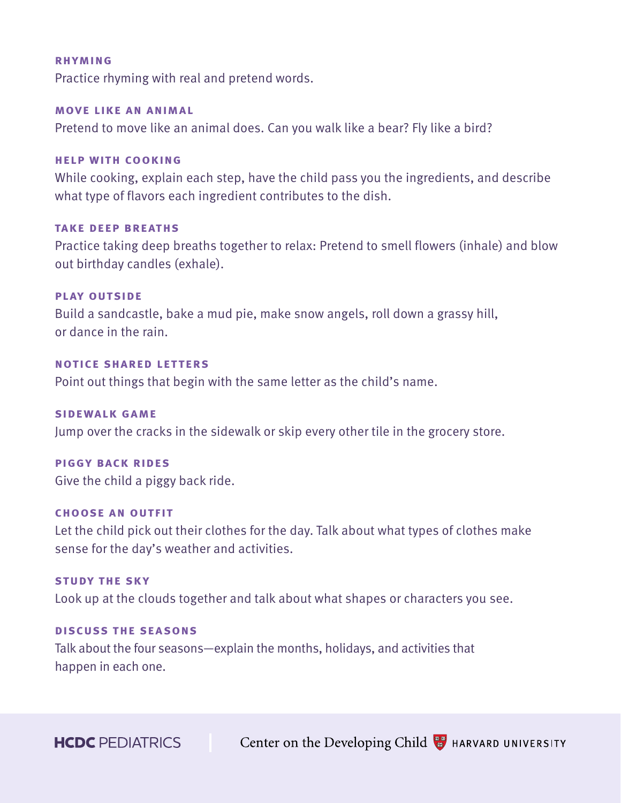#### **rhyming**

Practice rhyming with real and pretend words.

#### **move like an animal**

Pretend to move like an animal does. Can you walk like a bear? Fly like a bird?

# **help with cooking**

While cooking, explain each step, have the child pass you the ingredients, and describe what type of flavors each ingredient contributes to the dish.

### **take deep breaths**

Practice taking deep breaths together to relax: Pretend to smell flowers (inhale) and blow out birthday candles (exhale).

# **play outside**

Build a sandcastle, bake a mud pie, make snow angels, roll down a grassy hill, or dance in the rain.

# **notice shared letters**

Point out things that begin with the same letter as the child's name.

# **sidewalk game**

Jump over the cracks in the sidewalk or skip every other tile in the grocery store.

#### **piggy back rides**

Give the child a piggy back ride.

# **choose an outfit**

Let the child pick out their clothes for the day. Talk about what types of clothes make sense for the day's weather and activities.

# **study the sky**

Look up at the clouds together and talk about what shapes or characters you see.

# **discuss the seasons**

Talk about the four seasons—explain the months, holidays, and activities that happen in each one.

**HCDC** PEDIATRICS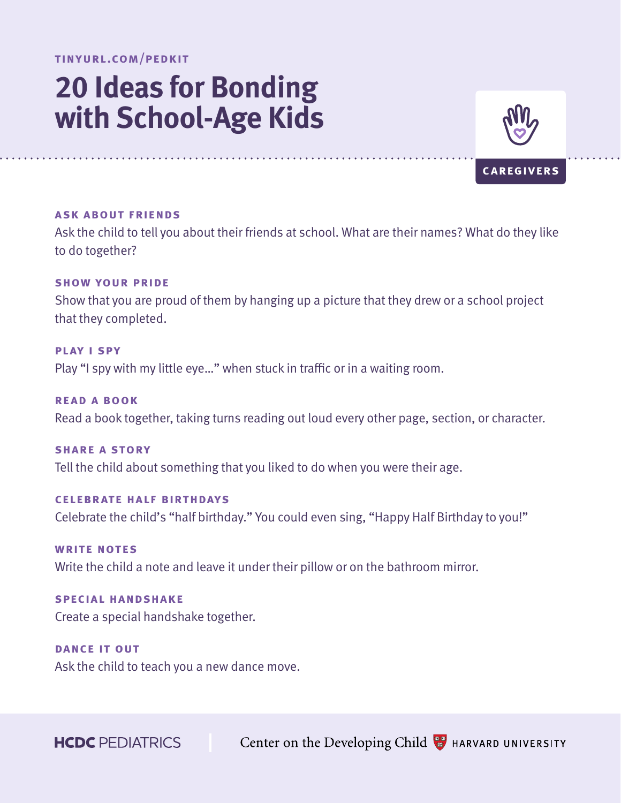# **20 Ideas for Bonding with School-Age Kids**



# **caregivers**

#### **ask about friends**

Ask the child to tell you about their friends at school. What are their names? What do they like to do together?

# **show your pride**

Show that you are proud of them by hanging up a picture that they drew or a school project that they completed.

**play i spy** Play "I spy with my little eye…" when stuck in traffic or in a waiting room.

**read a book**  Read a book together, taking turns reading out loud every other page, section, or character.

**share a story** Tell the child about something that you liked to do when you were their age.

**celebrate half birthdays** Celebrate the child's "half birthday." You could even sing, "Happy Half Birthday to you!"

**write notes** Write the child a note and leave it under their pillow or on the bathroom mirror.

**special handshake** Create a special handshake together.

**dance it out** Ask the child to teach you a new dance move.

**HCDC** PEDIATRICS